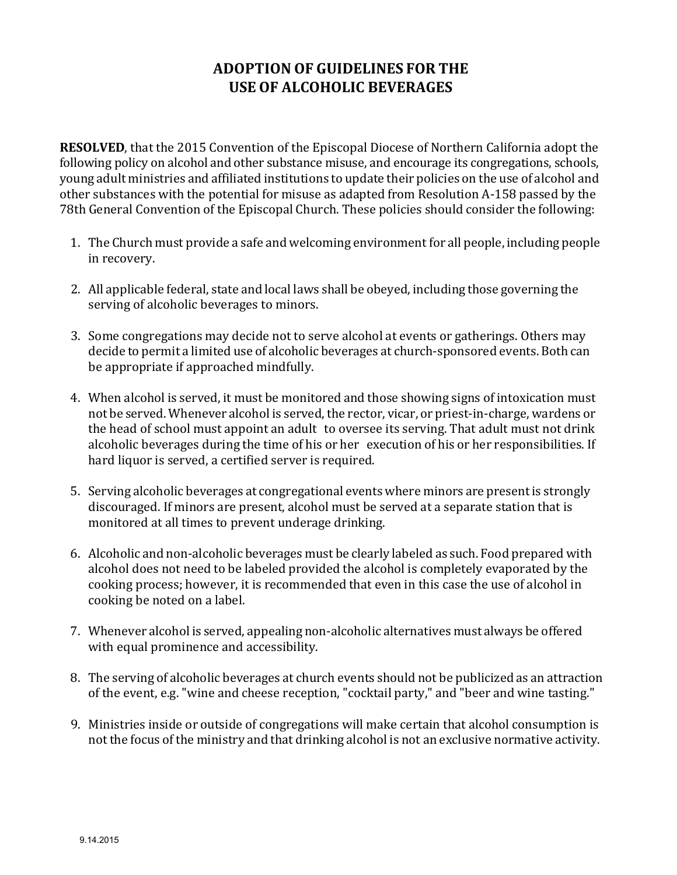## **ADOPTION OF GUIDELINES FOR THE USE OF ALCOHOLIC BEVERAGES**

**RESOLVED**, that the 2015 Convention of the Episcopal Diocese of Northern California adopt the following policy on alcohol and other substance misuse, and encourage its congregations, schools, young adult ministries and affiliated institutions to update their policies on the use of alcohol and other substances with the potential for misuse as adapted from Resolution A-158 passed by the 78th General Convention of the Episcopal Church. These policies should consider the following:

- 1. The Church must provide a safe and welcoming environment for all people, including people in recovery.
- 2. All applicable federal, state and local laws shall be obeyed, including those governing the serving of alcoholic beverages to minors.
- 3. Some congregations may decide not to serve alcohol at events or gatherings. Others may decide to permit a limited use of alcoholic beverages at church-sponsored events. Both can be appropriate if approached mindfully.
- 4. When alcohol is served, it must be monitored and those showing signs of intoxication must not be served. Whenever alcohol is served, the rector, vicar, or priest-in-charge, wardens or the head of school must appoint an adult to oversee its serving. That adult must not drink alcoholic beverages during the time of his or her execution of his or her responsibilities. If hard liquor is served, a certified server is required.
- 5. Serving alcoholic beverages at congregational events where minors are presentis strongly discouraged. If minors are present, alcohol must be served at a separate station that is monitored at all times to prevent underage drinking.
- 6. Alcoholic and non-alcoholic beverages must be clearly labeled as such. Food prepared with alcohol does not need to be labeled provided the alcohol is completely evaporated by the cooking process; however, it is recommended that even in this case the use of alcohol in cooking be noted on a label.
- 7. Whenever alcohol is served, appealing non-alcoholic alternatives must always be offered with equal prominence and accessibility.
- 8. The serving of alcoholic beverages at church events should not be publicized as an attraction of the event, e.g. "wine and cheese reception, "cocktail party," and "beer and wine tasting."
- 9. Ministries inside or outside of congregations will make certain that alcohol consumption is not the focus of the ministry and that drinking alcohol is not an exclusive normative activity.